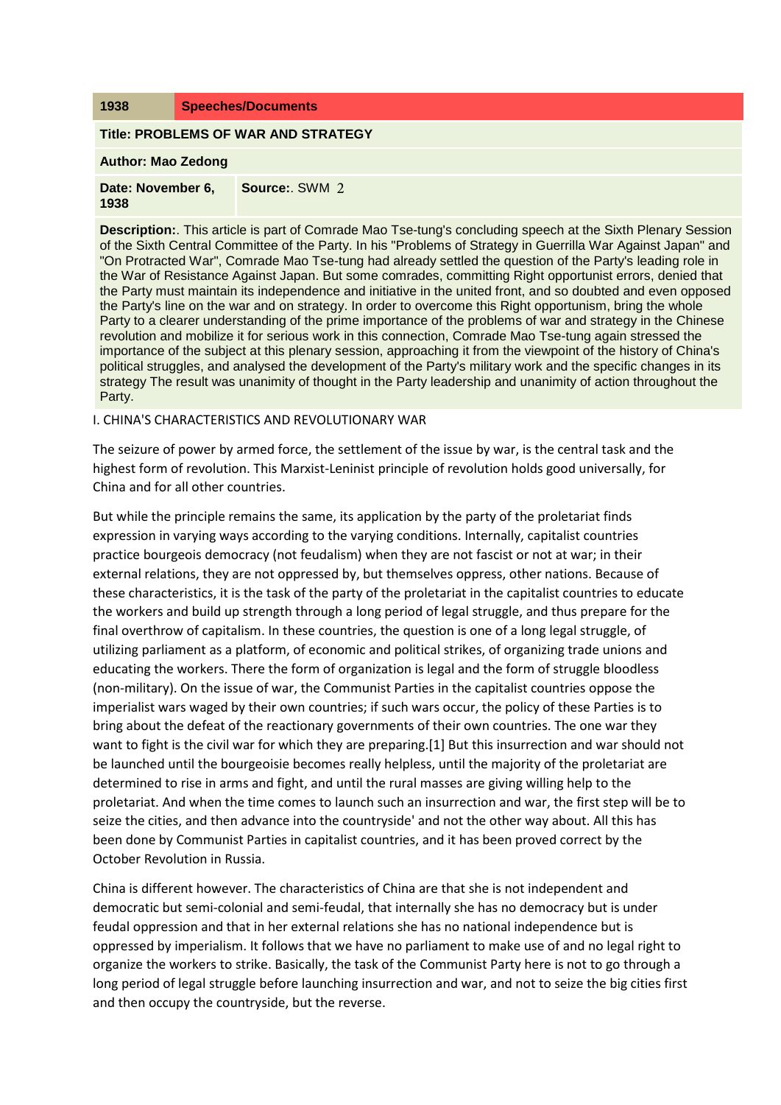| 1938 | <b>Speeches/Documents</b> |
|------|---------------------------|
|------|---------------------------|

**Title: PROBLEMS OF WAR AND STRATEGY**

**Author: Mao Zedong**

**Date: November 6, 1938 Source:**. SWM 2

**Description:**. This article is part of Comrade Mao Tse-tung's concluding speech at the Sixth Plenary Session of the Sixth Central Committee of the Party. In his "Problems of Strategy in Guerrilla War Against Japan" and "On Protracted War", Comrade Mao Tse-tung had already settled the question of the Party's leading role in the War of Resistance Against Japan. But some comrades, committing Right opportunist errors, denied that the Party must maintain its independence and initiative in the united front, and so doubted and even opposed the Party's line on the war and on strategy. In order to overcome this Right opportunism, bring the whole Party to a clearer understanding of the prime importance of the problems of war and strategy in the Chinese revolution and mobilize it for serious work in this connection, Comrade Mao Tse-tung again stressed the importance of the subject at this plenary session, approaching it from the viewpoint of the history of China's political struggles, and analysed the development of the Party's military work and the specific changes in its strategy The result was unanimity of thought in the Party leadership and unanimity of action throughout the Party.

I. CHINA'S CHARACTERISTICS AND REVOLUTIONARY WAR

The seizure of power by armed force, the settlement of the issue by war, is the central task and the highest form of revolution. This Marxist-Leninist principle of revolution holds good universally, for China and for all other countries.

But while the principle remains the same, its application by the party of the proletariat finds expression in varying ways according to the varying conditions. Internally, capitalist countries practice bourgeois democracy (not feudalism) when they are not fascist or not at war; in their external relations, they are not oppressed by, but themselves oppress, other nations. Because of these characteristics, it is the task of the party of the proletariat in the capitalist countries to educate the workers and build up strength through a long period of legal struggle, and thus prepare for the final overthrow of capitalism. In these countries, the question is one of a long legal struggle, of utilizing parliament as a platform, of economic and political strikes, of organizing trade unions and educating the workers. There the form of organization is legal and the form of struggle bloodless (non-military). On the issue of war, the Communist Parties in the capitalist countries oppose the imperialist wars waged by their own countries; if such wars occur, the policy of these Parties is to bring about the defeat of the reactionary governments of their own countries. The one war they want to fight is the civil war for which they are preparing.[1] But this insurrection and war should not be launched until the bourgeoisie becomes really helpless, until the majority of the proletariat are determined to rise in arms and fight, and until the rural masses are giving willing help to the proletariat. And when the time comes to launch such an insurrection and war, the first step will be to seize the cities, and then advance into the countryside' and not the other way about. All this has been done by Communist Parties in capitalist countries, and it has been proved correct by the October Revolution in Russia.

China is different however. The characteristics of China are that she is not independent and democratic but semi-colonial and semi-feudal, that internally she has no democracy but is under feudal oppression and that in her external relations she has no national independence but is oppressed by imperialism. It follows that we have no parliament to make use of and no legal right to organize the workers to strike. Basically, the task of the Communist Party here is not to go through a long period of legal struggle before launching insurrection and war, and not to seize the big cities first and then occupy the countryside, but the reverse.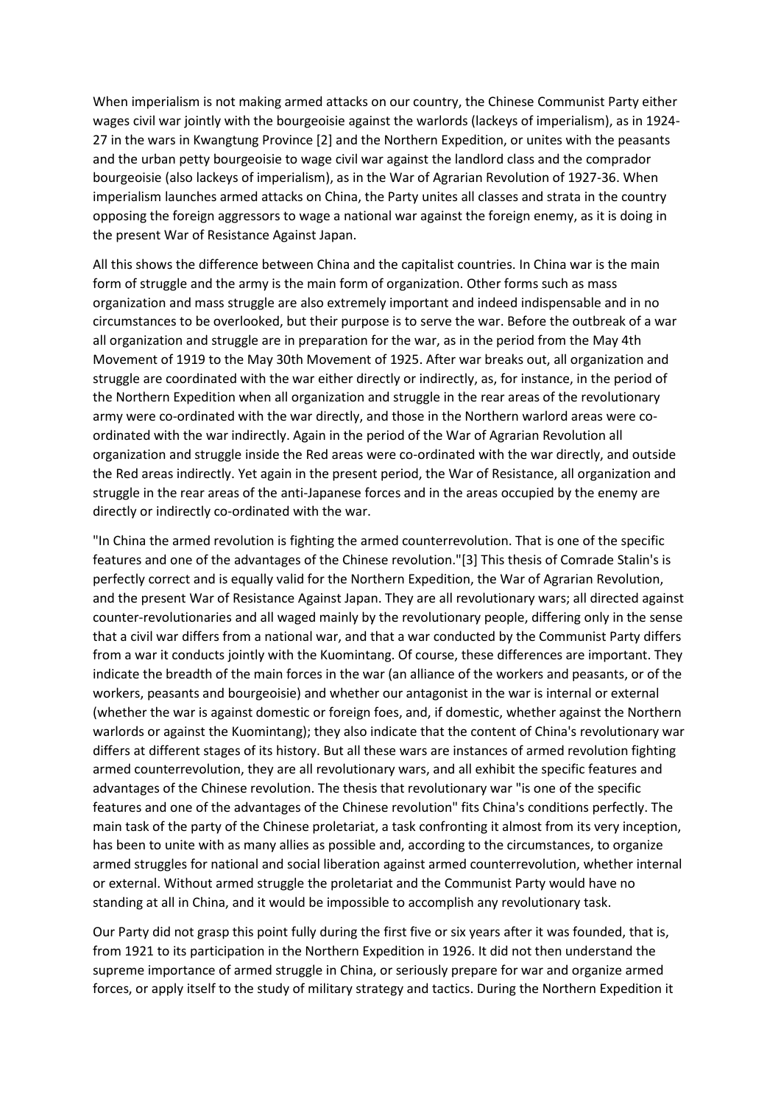When imperialism is not making armed attacks on our country, the Chinese Communist Party either wages civil war jointly with the bourgeoisie against the warlords (lackeys of imperialism), as in 1924- 27 in the wars in Kwangtung Province [2] and the Northern Expedition, or unites with the peasants and the urban petty bourgeoisie to wage civil war against the landlord class and the comprador bourgeoisie (also lackeys of imperialism), as in the War of Agrarian Revolution of 1927-36. When imperialism launches armed attacks on China, the Party unites all classes and strata in the country opposing the foreign aggressors to wage a national war against the foreign enemy, as it is doing in the present War of Resistance Against Japan.

All this shows the difference between China and the capitalist countries. In China war is the main form of struggle and the army is the main form of organization. Other forms such as mass organization and mass struggle are also extremely important and indeed indispensable and in no circumstances to be overlooked, but their purpose is to serve the war. Before the outbreak of a war all organization and struggle are in preparation for the war, as in the period from the May 4th Movement of 1919 to the May 30th Movement of 1925. After war breaks out, all organization and struggle are coordinated with the war either directly or indirectly, as, for instance, in the period of the Northern Expedition when all organization and struggle in the rear areas of the revolutionary army were co-ordinated with the war directly, and those in the Northern warlord areas were coordinated with the war indirectly. Again in the period of the War of Agrarian Revolution all organization and struggle inside the Red areas were co-ordinated with the war directly, and outside the Red areas indirectly. Yet again in the present period, the War of Resistance, all organization and struggle in the rear areas of the anti-Japanese forces and in the areas occupied by the enemy are directly or indirectly co-ordinated with the war.

"In China the armed revolution is fighting the armed counterrevolution. That is one of the specific features and one of the advantages of the Chinese revolution."[3] This thesis of Comrade Stalin's is perfectly correct and is equally valid for the Northern Expedition, the War of Agrarian Revolution, and the present War of Resistance Against Japan. They are all revolutionary wars; all directed against counter-revolutionaries and all waged mainly by the revolutionary people, differing only in the sense that a civil war differs from a national war, and that a war conducted by the Communist Party differs from a war it conducts jointly with the Kuomintang. Of course, these differences are important. They indicate the breadth of the main forces in the war (an alliance of the workers and peasants, or of the workers, peasants and bourgeoisie) and whether our antagonist in the war is internal or external (whether the war is against domestic or foreign foes, and, if domestic, whether against the Northern warlords or against the Kuomintang); they also indicate that the content of China's revolutionary war differs at different stages of its history. But all these wars are instances of armed revolution fighting armed counterrevolution, they are all revolutionary wars, and all exhibit the specific features and advantages of the Chinese revolution. The thesis that revolutionary war "is one of the specific features and one of the advantages of the Chinese revolution" fits China's conditions perfectly. The main task of the party of the Chinese proletariat, a task confronting it almost from its very inception, has been to unite with as many allies as possible and, according to the circumstances, to organize armed struggles for national and social liberation against armed counterrevolution, whether internal or external. Without armed struggle the proletariat and the Communist Party would have no standing at all in China, and it would be impossible to accomplish any revolutionary task.

Our Party did not grasp this point fully during the first five or six years after it was founded, that is, from 1921 to its participation in the Northern Expedition in 1926. It did not then understand the supreme importance of armed struggle in China, or seriously prepare for war and organize armed forces, or apply itself to the study of military strategy and tactics. During the Northern Expedition it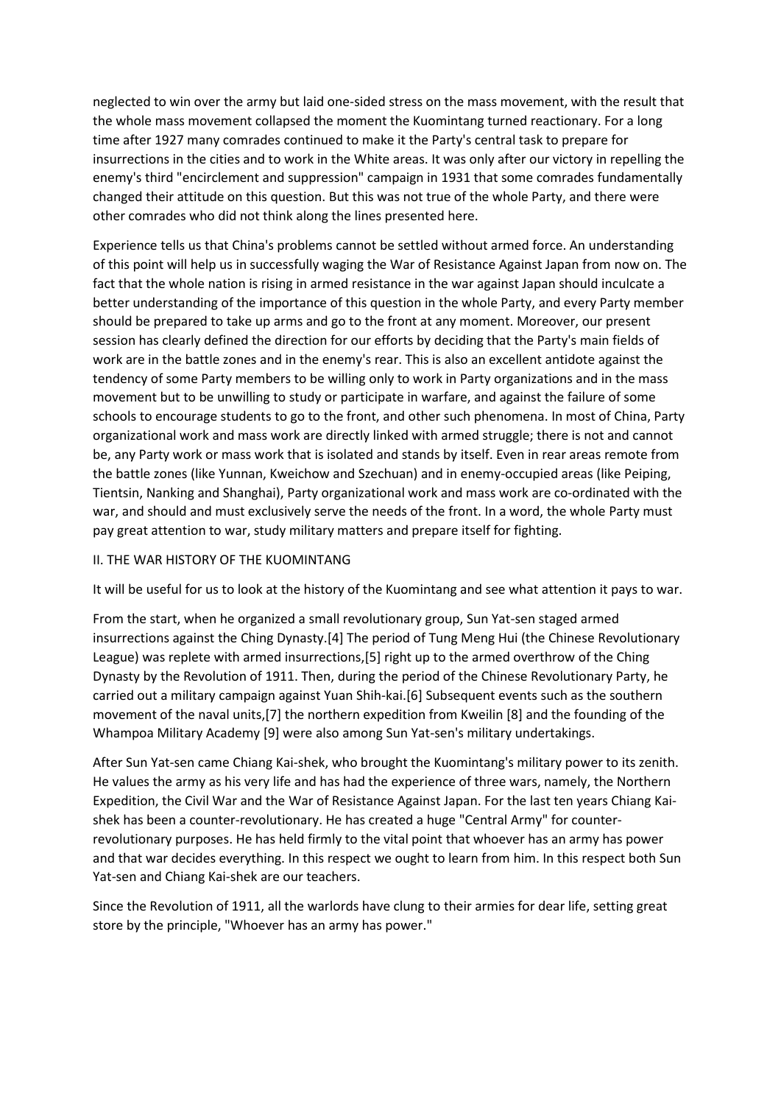neglected to win over the army but laid one-sided stress on the mass movement, with the result that the whole mass movement collapsed the moment the Kuomintang turned reactionary. For a long time after 1927 many comrades continued to make it the Party's central task to prepare for insurrections in the cities and to work in the White areas. It was only after our victory in repelling the enemy's third "encirclement and suppression" campaign in 1931 that some comrades fundamentally changed their attitude on this question. But this was not true of the whole Party, and there were other comrades who did not think along the lines presented here.

Experience tells us that China's problems cannot be settled without armed force. An understanding of this point will help us in successfully waging the War of Resistance Against Japan from now on. The fact that the whole nation is rising in armed resistance in the war against Japan should inculcate a better understanding of the importance of this question in the whole Party, and every Party member should be prepared to take up arms and go to the front at any moment. Moreover, our present session has clearly defined the direction for our efforts by deciding that the Party's main fields of work are in the battle zones and in the enemy's rear. This is also an excellent antidote against the tendency of some Party members to be willing only to work in Party organizations and in the mass movement but to be unwilling to study or participate in warfare, and against the failure of some schools to encourage students to go to the front, and other such phenomena. In most of China, Party organizational work and mass work are directly linked with armed struggle; there is not and cannot be, any Party work or mass work that is isolated and stands by itself. Even in rear areas remote from the battle zones (like Yunnan, Kweichow and Szechuan) and in enemy-occupied areas (like Peiping, Tientsin, Nanking and Shanghai), Party organizational work and mass work are co-ordinated with the war, and should and must exclusively serve the needs of the front. In a word, the whole Party must pay great attention to war, study military matters and prepare itself for fighting.

## II. THE WAR HISTORY OF THE KUOMINTANG

It will be useful for us to look at the history of the Kuomintang and see what attention it pays to war.

From the start, when he organized a small revolutionary group, Sun Yat-sen staged armed insurrections against the Ching Dynasty.[4] The period of Tung Meng Hui (the Chinese Revolutionary League) was replete with armed insurrections,[5] right up to the armed overthrow of the Ching Dynasty by the Revolution of 1911. Then, during the period of the Chinese Revolutionary Party, he carried out a military campaign against Yuan Shih-kai.[6] Subsequent events such as the southern movement of the naval units,[7] the northern expedition from Kweilin [8] and the founding of the Whampoa Military Academy [9] were also among Sun Yat-sen's military undertakings.

After Sun Yat-sen came Chiang Kai-shek, who brought the Kuomintang's military power to its zenith. He values the army as his very life and has had the experience of three wars, namely, the Northern Expedition, the Civil War and the War of Resistance Against Japan. For the last ten years Chiang Kaishek has been a counter-revolutionary. He has created a huge "Central Army" for counterrevolutionary purposes. He has held firmly to the vital point that whoever has an army has power and that war decides everything. In this respect we ought to learn from him. In this respect both Sun Yat-sen and Chiang Kai-shek are our teachers.

Since the Revolution of 1911, all the warlords have clung to their armies for dear life, setting great store by the principle, "Whoever has an army has power."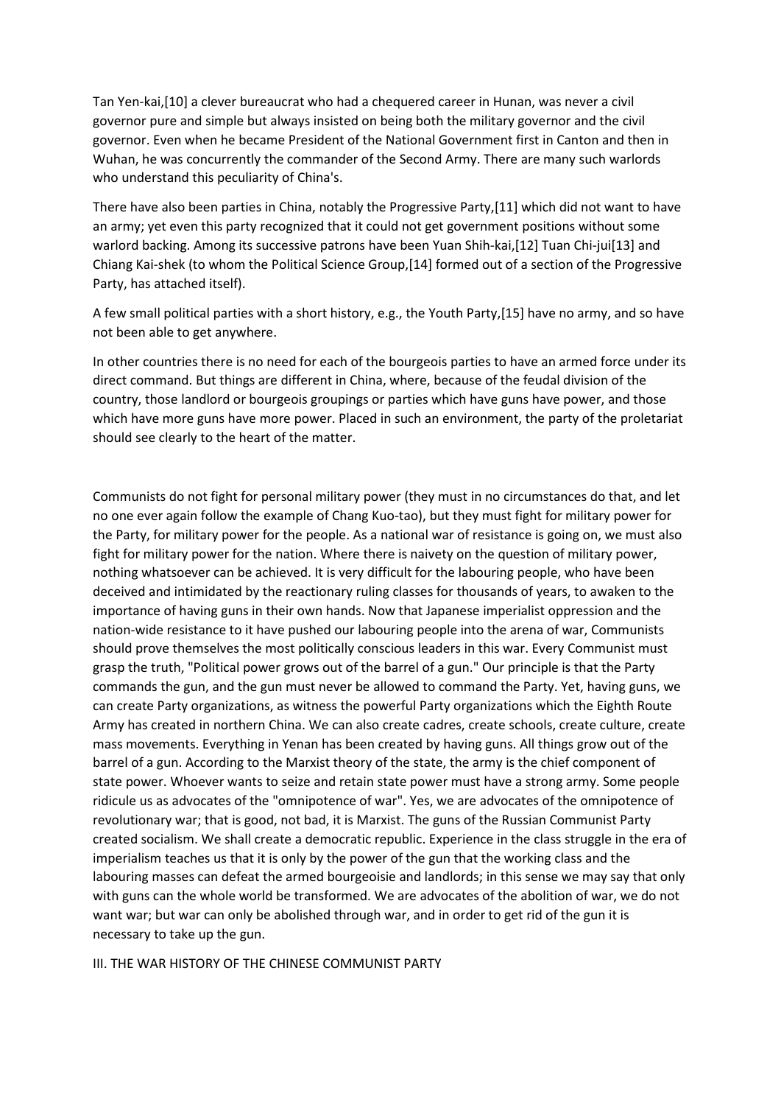Tan Yen-kai,[10] a clever bureaucrat who had a chequered career in Hunan, was never a civil governor pure and simple but always insisted on being both the military governor and the civil governor. Even when he became President of the National Government first in Canton and then in Wuhan, he was concurrently the commander of the Second Army. There are many such warlords who understand this peculiarity of China's.

There have also been parties in China, notably the Progressive Party,[11] which did not want to have an army; yet even this party recognized that it could not get government positions without some warlord backing. Among its successive patrons have been Yuan Shih-kai,[12] Tuan Chi-jui[13] and Chiang Kai-shek (to whom the Political Science Group,[14] formed out of a section of the Progressive Party, has attached itself).

A few small political parties with a short history, e.g., the Youth Party,[15] have no army, and so have not been able to get anywhere.

In other countries there is no need for each of the bourgeois parties to have an armed force under its direct command. But things are different in China, where, because of the feudal division of the country, those landlord or bourgeois groupings or parties which have guns have power, and those which have more guns have more power. Placed in such an environment, the party of the proletariat should see clearly to the heart of the matter.

Communists do not fight for personal military power (they must in no circumstances do that, and let no one ever again follow the example of Chang Kuo-tao), but they must fight for military power for the Party, for military power for the people. As a national war of resistance is going on, we must also fight for military power for the nation. Where there is naivety on the question of military power, nothing whatsoever can be achieved. It is very difficult for the labouring people, who have been deceived and intimidated by the reactionary ruling classes for thousands of years, to awaken to the importance of having guns in their own hands. Now that Japanese imperialist oppression and the nation-wide resistance to it have pushed our labouring people into the arena of war, Communists should prove themselves the most politically conscious leaders in this war. Every Communist must grasp the truth, "Political power grows out of the barrel of a gun." Our principle is that the Party commands the gun, and the gun must never be allowed to command the Party. Yet, having guns, we can create Party organizations, as witness the powerful Party organizations which the Eighth Route Army has created in northern China. We can also create cadres, create schools, create culture, create mass movements. Everything in Yenan has been created by having guns. All things grow out of the barrel of a gun. According to the Marxist theory of the state, the army is the chief component of state power. Whoever wants to seize and retain state power must have a strong army. Some people ridicule us as advocates of the "omnipotence of war". Yes, we are advocates of the omnipotence of revolutionary war; that is good, not bad, it is Marxist. The guns of the Russian Communist Party created socialism. We shall create a democratic republic. Experience in the class struggle in the era of imperialism teaches us that it is only by the power of the gun that the working class and the labouring masses can defeat the armed bourgeoisie and landlords; in this sense we may say that only with guns can the whole world be transformed. We are advocates of the abolition of war, we do not want war; but war can only be abolished through war, and in order to get rid of the gun it is necessary to take up the gun.

III. THE WAR HISTORY OF THE CHINESE COMMUNIST PARTY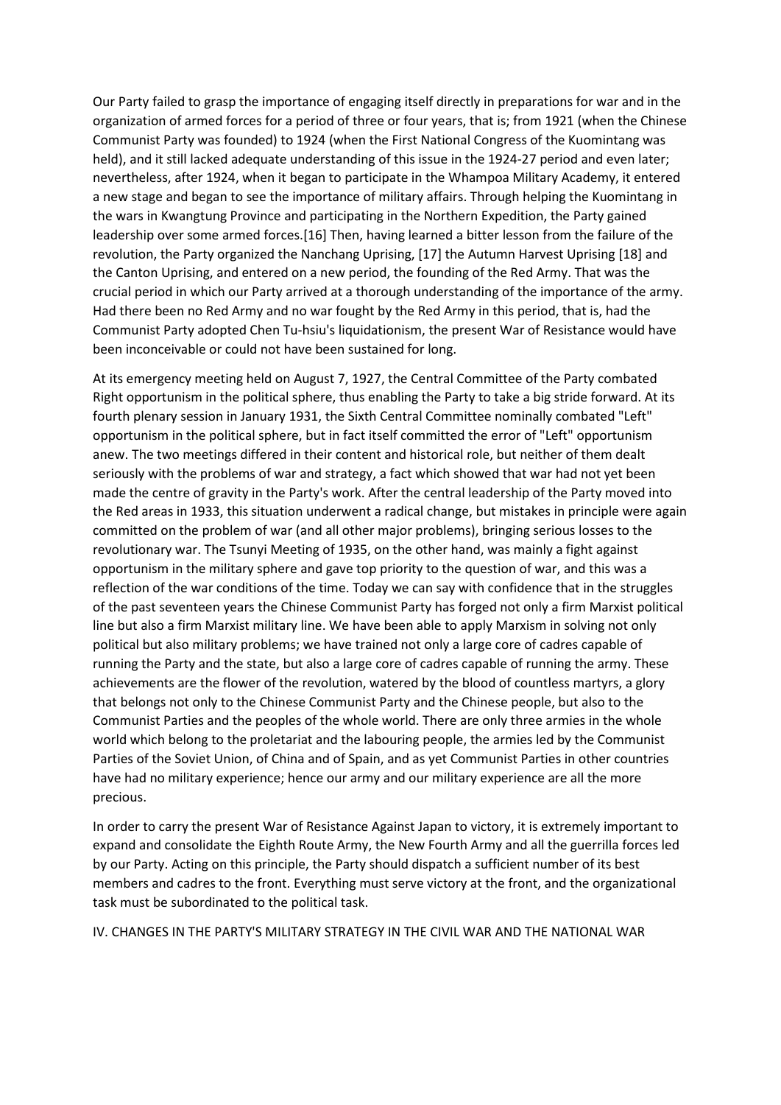Our Party failed to grasp the importance of engaging itself directly in preparations for war and in the organization of armed forces for a period of three or four years, that is; from 1921 (when the Chinese Communist Party was founded) to 1924 (when the First National Congress of the Kuomintang was held), and it still lacked adequate understanding of this issue in the 1924-27 period and even later; nevertheless, after 1924, when it began to participate in the Whampoa Military Academy, it entered a new stage and began to see the importance of military affairs. Through helping the Kuomintang in the wars in Kwangtung Province and participating in the Northern Expedition, the Party gained leadership over some armed forces.[16] Then, having learned a bitter lesson from the failure of the revolution, the Party organized the Nanchang Uprising, [17] the Autumn Harvest Uprising [18] and the Canton Uprising, and entered on a new period, the founding of the Red Army. That was the crucial period in which our Party arrived at a thorough understanding of the importance of the army. Had there been no Red Army and no war fought by the Red Army in this period, that is, had the Communist Party adopted Chen Tu-hsiu's liquidationism, the present War of Resistance would have been inconceivable or could not have been sustained for long.

At its emergency meeting held on August 7, 1927, the Central Committee of the Party combated Right opportunism in the political sphere, thus enabling the Party to take a big stride forward. At its fourth plenary session in January 1931, the Sixth Central Committee nominally combated "Left" opportunism in the political sphere, but in fact itself committed the error of "Left" opportunism anew. The two meetings differed in their content and historical role, but neither of them dealt seriously with the problems of war and strategy, a fact which showed that war had not yet been made the centre of gravity in the Party's work. After the central leadership of the Party moved into the Red areas in 1933, this situation underwent a radical change, but mistakes in principle were again committed on the problem of war (and all other major problems), bringing serious losses to the revolutionary war. The Tsunyi Meeting of 1935, on the other hand, was mainly a fight against opportunism in the military sphere and gave top priority to the question of war, and this was a reflection of the war conditions of the time. Today we can say with confidence that in the struggles of the past seventeen years the Chinese Communist Party has forged not only a firm Marxist political line but also a firm Marxist military line. We have been able to apply Marxism in solving not only political but also military problems; we have trained not only a large core of cadres capable of running the Party and the state, but also a large core of cadres capable of running the army. These achievements are the flower of the revolution, watered by the blood of countless martyrs, a glory that belongs not only to the Chinese Communist Party and the Chinese people, but also to the Communist Parties and the peoples of the whole world. There are only three armies in the whole world which belong to the proletariat and the labouring people, the armies led by the Communist Parties of the Soviet Union, of China and of Spain, and as yet Communist Parties in other countries have had no military experience; hence our army and our military experience are all the more precious.

In order to carry the present War of Resistance Against Japan to victory, it is extremely important to expand and consolidate the Eighth Route Army, the New Fourth Army and all the guerrilla forces led by our Party. Acting on this principle, the Party should dispatch a sufficient number of its best members and cadres to the front. Everything must serve victory at the front, and the organizational task must be subordinated to the political task.

IV. CHANGES IN THE PARTY'S MILITARY STRATEGY IN THE CIVIL WAR AND THE NATIONAL WAR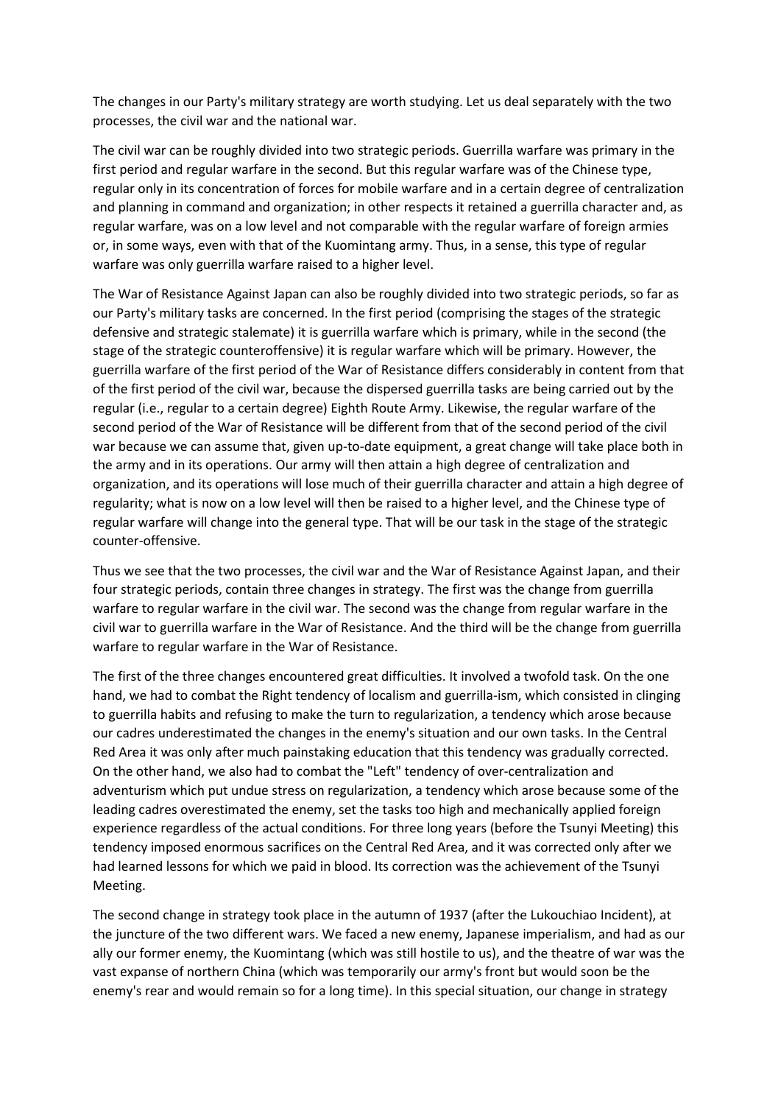The changes in our Party's military strategy are worth studying. Let us deal separately with the two processes, the civil war and the national war.

The civil war can be roughly divided into two strategic periods. Guerrilla warfare was primary in the first period and regular warfare in the second. But this regular warfare was of the Chinese type, regular only in its concentration of forces for mobile warfare and in a certain degree of centralization and planning in command and organization; in other respects it retained a guerrilla character and, as regular warfare, was on a low level and not comparable with the regular warfare of foreign armies or, in some ways, even with that of the Kuomintang army. Thus, in a sense, this type of regular warfare was only guerrilla warfare raised to a higher level.

The War of Resistance Against Japan can also be roughly divided into two strategic periods, so far as our Party's military tasks are concerned. In the first period (comprising the stages of the strategic defensive and strategic stalemate) it is guerrilla warfare which is primary, while in the second (the stage of the strategic counteroffensive) it is regular warfare which will be primary. However, the guerrilla warfare of the first period of the War of Resistance differs considerably in content from that of the first period of the civil war, because the dispersed guerrilla tasks are being carried out by the regular (i.e., regular to a certain degree) Eighth Route Army. Likewise, the regular warfare of the second period of the War of Resistance will be different from that of the second period of the civil war because we can assume that, given up-to-date equipment, a great change will take place both in the army and in its operations. Our army will then attain a high degree of centralization and organization, and its operations will lose much of their guerrilla character and attain a high degree of regularity; what is now on a low level will then be raised to a higher level, and the Chinese type of regular warfare will change into the general type. That will be our task in the stage of the strategic counter-offensive.

Thus we see that the two processes, the civil war and the War of Resistance Against Japan, and their four strategic periods, contain three changes in strategy. The first was the change from guerrilla warfare to regular warfare in the civil war. The second was the change from regular warfare in the civil war to guerrilla warfare in the War of Resistance. And the third will be the change from guerrilla warfare to regular warfare in the War of Resistance.

The first of the three changes encountered great difficulties. It involved a twofold task. On the one hand, we had to combat the Right tendency of localism and guerrilla-ism, which consisted in clinging to guerrilla habits and refusing to make the turn to regularization, a tendency which arose because our cadres underestimated the changes in the enemy's situation and our own tasks. In the Central Red Area it was only after much painstaking education that this tendency was gradually corrected. On the other hand, we also had to combat the "Left" tendency of over-centralization and adventurism which put undue stress on regularization, a tendency which arose because some of the leading cadres overestimated the enemy, set the tasks too high and mechanically applied foreign experience regardless of the actual conditions. For three long years (before the Tsunyi Meeting) this tendency imposed enormous sacrifices on the Central Red Area, and it was corrected only after we had learned lessons for which we paid in blood. Its correction was the achievement of the Tsunyi Meeting.

The second change in strategy took place in the autumn of 1937 (after the Lukouchiao Incident), at the juncture of the two different wars. We faced a new enemy, Japanese imperialism, and had as our ally our former enemy, the Kuomintang (which was still hostile to us), and the theatre of war was the vast expanse of northern China (which was temporarily our army's front but would soon be the enemy's rear and would remain so for a long time). In this special situation, our change in strategy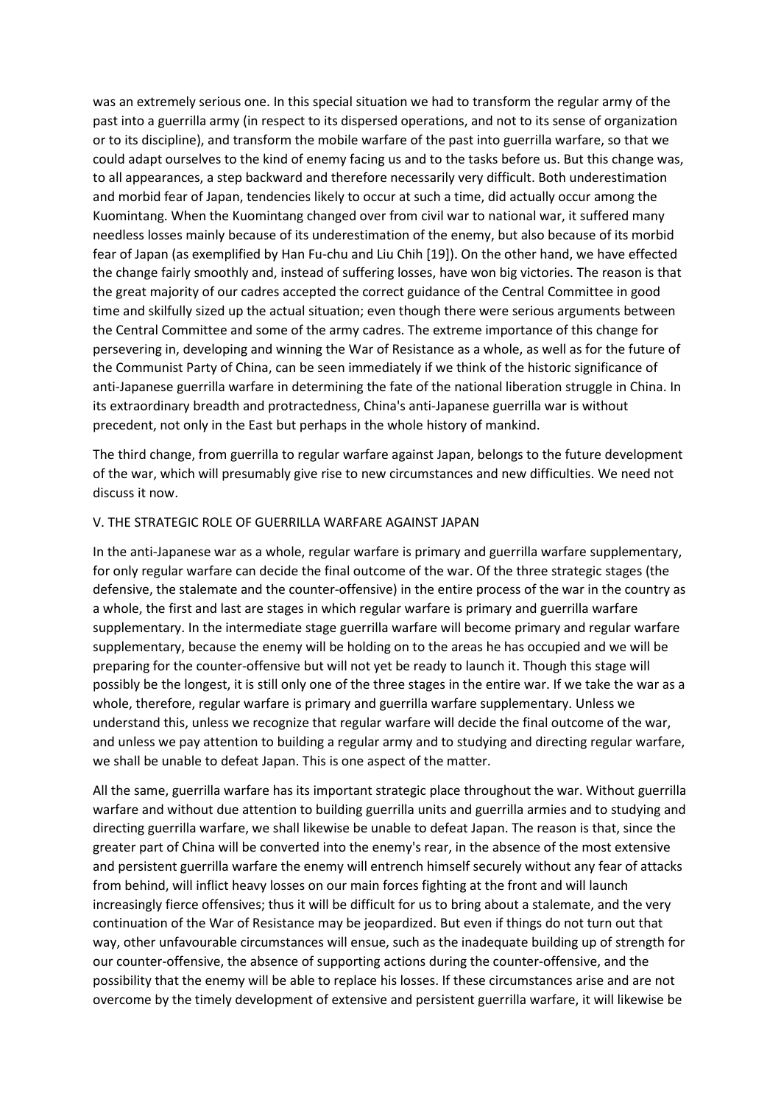was an extremely serious one. In this special situation we had to transform the regular army of the past into a guerrilla army (in respect to its dispersed operations, and not to its sense of organization or to its discipline), and transform the mobile warfare of the past into guerrilla warfare, so that we could adapt ourselves to the kind of enemy facing us and to the tasks before us. But this change was, to all appearances, a step backward and therefore necessarily very difficult. Both underestimation and morbid fear of Japan, tendencies likely to occur at such a time, did actually occur among the Kuomintang. When the Kuomintang changed over from civil war to national war, it suffered many needless losses mainly because of its underestimation of the enemy, but also because of its morbid fear of Japan (as exemplified by Han Fu-chu and Liu Chih [19]). On the other hand, we have effected the change fairly smoothly and, instead of suffering losses, have won big victories. The reason is that the great majority of our cadres accepted the correct guidance of the Central Committee in good time and skilfully sized up the actual situation; even though there were serious arguments between the Central Committee and some of the army cadres. The extreme importance of this change for persevering in, developing and winning the War of Resistance as a whole, as well as for the future of the Communist Party of China, can be seen immediately if we think of the historic significance of anti-Japanese guerrilla warfare in determining the fate of the national liberation struggle in China. In its extraordinary breadth and protractedness, China's anti-Japanese guerrilla war is without precedent, not only in the East but perhaps in the whole history of mankind.

The third change, from guerrilla to regular warfare against Japan, belongs to the future development of the war, which will presumably give rise to new circumstances and new difficulties. We need not discuss it now.

## V. THE STRATEGIC ROLE OF GUERRILLA WARFARE AGAINST JAPAN

In the anti-Japanese war as a whole, regular warfare is primary and guerrilla warfare supplementary, for only regular warfare can decide the final outcome of the war. Of the three strategic stages (the defensive, the stalemate and the counter-offensive) in the entire process of the war in the country as a whole, the first and last are stages in which regular warfare is primary and guerrilla warfare supplementary. In the intermediate stage guerrilla warfare will become primary and regular warfare supplementary, because the enemy will be holding on to the areas he has occupied and we will be preparing for the counter-offensive but will not yet be ready to launch it. Though this stage will possibly be the longest, it is still only one of the three stages in the entire war. If we take the war as a whole, therefore, regular warfare is primary and guerrilla warfare supplementary. Unless we understand this, unless we recognize that regular warfare will decide the final outcome of the war, and unless we pay attention to building a regular army and to studying and directing regular warfare, we shall be unable to defeat Japan. This is one aspect of the matter.

All the same, guerrilla warfare has its important strategic place throughout the war. Without guerrilla warfare and without due attention to building guerrilla units and guerrilla armies and to studying and directing guerrilla warfare, we shall likewise be unable to defeat Japan. The reason is that, since the greater part of China will be converted into the enemy's rear, in the absence of the most extensive and persistent guerrilla warfare the enemy will entrench himself securely without any fear of attacks from behind, will inflict heavy losses on our main forces fighting at the front and will launch increasingly fierce offensives; thus it will be difficult for us to bring about a stalemate, and the very continuation of the War of Resistance may be jeopardized. But even if things do not turn out that way, other unfavourable circumstances will ensue, such as the inadequate building up of strength for our counter-offensive, the absence of supporting actions during the counter-offensive, and the possibility that the enemy will be able to replace his losses. If these circumstances arise and are not overcome by the timely development of extensive and persistent guerrilla warfare, it will likewise be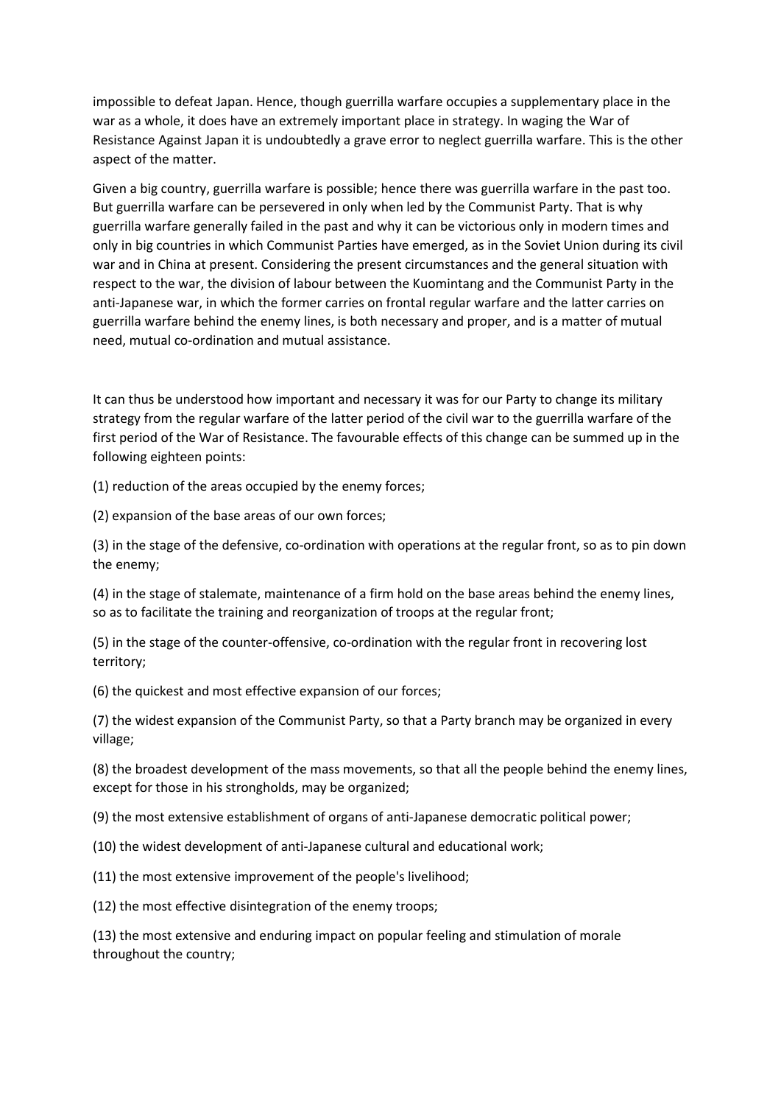impossible to defeat Japan. Hence, though guerrilla warfare occupies a supplementary place in the war as a whole, it does have an extremely important place in strategy. In waging the War of Resistance Against Japan it is undoubtedly a grave error to neglect guerrilla warfare. This is the other aspect of the matter.

Given a big country, guerrilla warfare is possible; hence there was guerrilla warfare in the past too. But guerrilla warfare can be persevered in only when led by the Communist Party. That is why guerrilla warfare generally failed in the past and why it can be victorious only in modern times and only in big countries in which Communist Parties have emerged, as in the Soviet Union during its civil war and in China at present. Considering the present circumstances and the general situation with respect to the war, the division of labour between the Kuomintang and the Communist Party in the anti-Japanese war, in which the former carries on frontal regular warfare and the latter carries on guerrilla warfare behind the enemy lines, is both necessary and proper, and is a matter of mutual need, mutual co-ordination and mutual assistance.

It can thus be understood how important and necessary it was for our Party to change its military strategy from the regular warfare of the latter period of the civil war to the guerrilla warfare of the first period of the War of Resistance. The favourable effects of this change can be summed up in the following eighteen points:

(1) reduction of the areas occupied by the enemy forces;

(2) expansion of the base areas of our own forces;

(3) in the stage of the defensive, co-ordination with operations at the regular front, so as to pin down the enemy;

(4) in the stage of stalemate, maintenance of a firm hold on the base areas behind the enemy lines, so as to facilitate the training and reorganization of troops at the regular front;

(5) in the stage of the counter-offensive, co-ordination with the regular front in recovering lost territory;

(6) the quickest and most effective expansion of our forces;

(7) the widest expansion of the Communist Party, so that a Party branch may be organized in every village;

(8) the broadest development of the mass movements, so that all the people behind the enemy lines, except for those in his strongholds, may be organized;

(9) the most extensive establishment of organs of anti-Japanese democratic political power;

(10) the widest development of anti-Japanese cultural and educational work;

(11) the most extensive improvement of the people's livelihood;

(12) the most effective disintegration of the enemy troops;

(13) the most extensive and enduring impact on popular feeling and stimulation of morale throughout the country;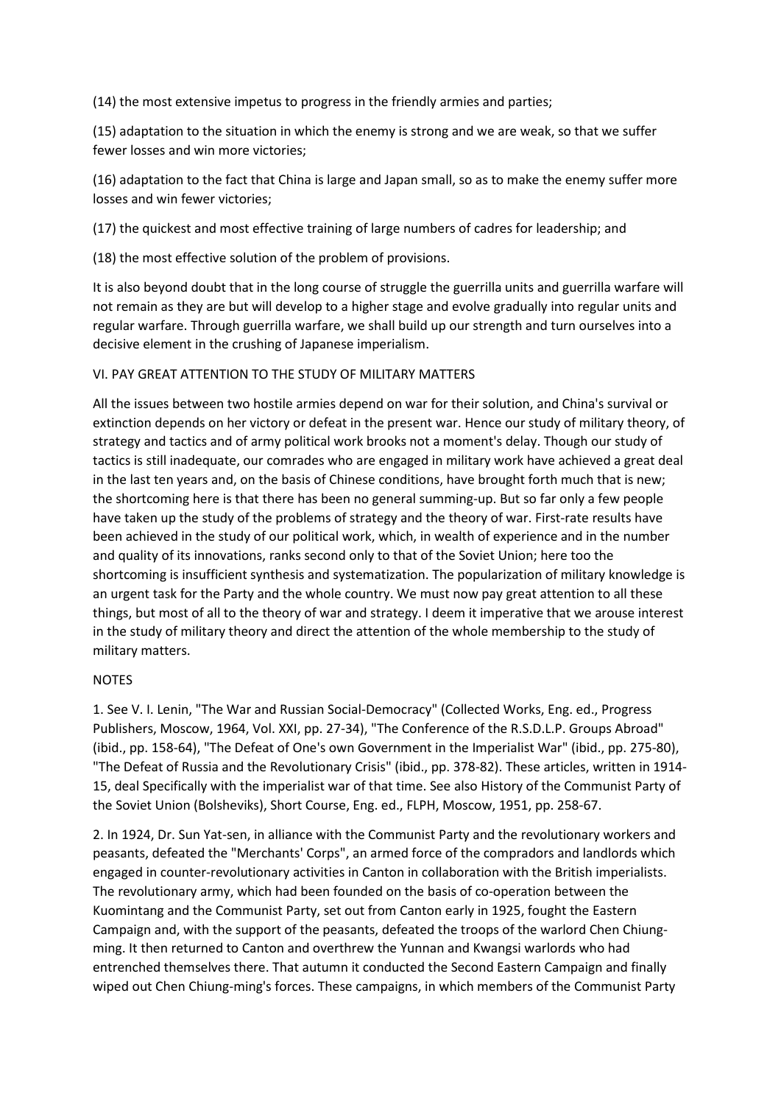(14) the most extensive impetus to progress in the friendly armies and parties;

(15) adaptation to the situation in which the enemy is strong and we are weak, so that we suffer fewer losses and win more victories;

(16) adaptation to the fact that China is large and Japan small, so as to make the enemy suffer more losses and win fewer victories;

(17) the quickest and most effective training of large numbers of cadres for leadership; and

(18) the most effective solution of the problem of provisions.

It is also beyond doubt that in the long course of struggle the guerrilla units and guerrilla warfare will not remain as they are but will develop to a higher stage and evolve gradually into regular units and regular warfare. Through guerrilla warfare, we shall build up our strength and turn ourselves into a decisive element in the crushing of Japanese imperialism.

## VI. PAY GREAT ATTENTION TO THE STUDY OF MILITARY MATTERS

All the issues between two hostile armies depend on war for their solution, and China's survival or extinction depends on her victory or defeat in the present war. Hence our study of military theory, of strategy and tactics and of army political work brooks not a moment's delay. Though our study of tactics is still inadequate, our comrades who are engaged in military work have achieved a great deal in the last ten years and, on the basis of Chinese conditions, have brought forth much that is new; the shortcoming here is that there has been no general summing-up. But so far only a few people have taken up the study of the problems of strategy and the theory of war. First-rate results have been achieved in the study of our political work, which, in wealth of experience and in the number and quality of its innovations, ranks second only to that of the Soviet Union; here too the shortcoming is insufficient synthesis and systematization. The popularization of military knowledge is an urgent task for the Party and the whole country. We must now pay great attention to all these things, but most of all to the theory of war and strategy. I deem it imperative that we arouse interest in the study of military theory and direct the attention of the whole membership to the study of military matters.

## NOTES

1. See V. I. Lenin, "The War and Russian Social-Democracy" (Collected Works, Eng. ed., Progress Publishers, Moscow, 1964, Vol. XXI, pp. 27-34), "The Conference of the R.S.D.L.P. Groups Abroad" (ibid., pp. 158-64), "The Defeat of One's own Government in the Imperialist War" (ibid., pp. 275-80), "The Defeat of Russia and the Revolutionary Crisis" (ibid., pp. 378-82). These articles, written in 1914- 15, deal Specifically with the imperialist war of that time. See also History of the Communist Party of the Soviet Union (Bolsheviks), Short Course, Eng. ed., FLPH, Moscow, 1951, pp. 258-67.

2. In 1924, Dr. Sun Yat-sen, in alliance with the Communist Party and the revolutionary workers and peasants, defeated the "Merchants' Corps", an armed force of the compradors and landlords which engaged in counter-revolutionary activities in Canton in collaboration with the British imperialists. The revolutionary army, which had been founded on the basis of co-operation between the Kuomintang and the Communist Party, set out from Canton early in 1925, fought the Eastern Campaign and, with the support of the peasants, defeated the troops of the warlord Chen Chiungming. It then returned to Canton and overthrew the Yunnan and Kwangsi warlords who had entrenched themselves there. That autumn it conducted the Second Eastern Campaign and finally wiped out Chen Chiung-ming's forces. These campaigns, in which members of the Communist Party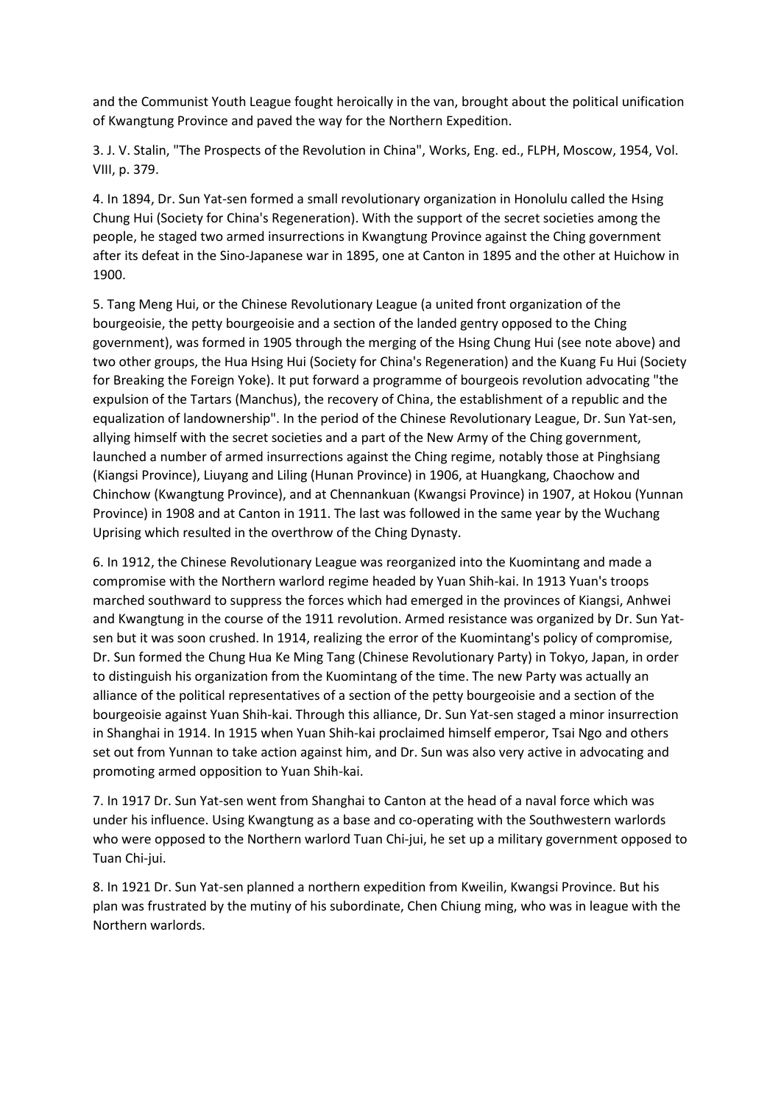and the Communist Youth League fought heroically in the van, brought about the political unification of Kwangtung Province and paved the way for the Northern Expedition.

3. J. V. Stalin, "The Prospects of the Revolution in China", Works, Eng. ed., FLPH, Moscow, 1954, Vol. VIII, p. 379.

4. In 1894, Dr. Sun Yat-sen formed a small revolutionary organization in Honolulu called the Hsing Chung Hui (Society for China's Regeneration). With the support of the secret societies among the people, he staged two armed insurrections in Kwangtung Province against the Ching government after its defeat in the Sino-Japanese war in 1895, one at Canton in 1895 and the other at Huichow in 1900.

5. Tang Meng Hui, or the Chinese Revolutionary League (a united front organization of the bourgeoisie, the petty bourgeoisie and a section of the landed gentry opposed to the Ching government), was formed in 1905 through the merging of the Hsing Chung Hui (see note above) and two other groups, the Hua Hsing Hui (Society for China's Regeneration) and the Kuang Fu Hui (Society for Breaking the Foreign Yoke). It put forward a programme of bourgeois revolution advocating "the expulsion of the Tartars (Manchus), the recovery of China, the establishment of a republic and the equalization of landownership". In the period of the Chinese Revolutionary League, Dr. Sun Yat-sen, allying himself with the secret societies and a part of the New Army of the Ching government, launched a number of armed insurrections against the Ching regime, notably those at Pinghsiang (Kiangsi Province), Liuyang and Liling (Hunan Province) in 1906, at Huangkang, Chaochow and Chinchow (Kwangtung Province), and at Chennankuan (Kwangsi Province) in 1907, at Hokou (Yunnan Province) in 1908 and at Canton in 1911. The last was followed in the same year by the Wuchang Uprising which resulted in the overthrow of the Ching Dynasty.

6. In 1912, the Chinese Revolutionary League was reorganized into the Kuomintang and made a compromise with the Northern warlord regime headed by Yuan Shih-kai. In 1913 Yuan's troops marched southward to suppress the forces which had emerged in the provinces of Kiangsi, Anhwei and Kwangtung in the course of the 1911 revolution. Armed resistance was organized by Dr. Sun Yatsen but it was soon crushed. In 1914, realizing the error of the Kuomintang's policy of compromise, Dr. Sun formed the Chung Hua Ke Ming Tang (Chinese Revolutionary Party) in Tokyo, Japan, in order to distinguish his organization from the Kuomintang of the time. The new Party was actually an alliance of the political representatives of a section of the petty bourgeoisie and a section of the bourgeoisie against Yuan Shih-kai. Through this alliance, Dr. Sun Yat-sen staged a minor insurrection in Shanghai in 1914. In 1915 when Yuan Shih-kai proclaimed himself emperor, Tsai Ngo and others set out from Yunnan to take action against him, and Dr. Sun was also very active in advocating and promoting armed opposition to Yuan Shih-kai.

7. In 1917 Dr. Sun Yat-sen went from Shanghai to Canton at the head of a naval force which was under his influence. Using Kwangtung as a base and co-operating with the Southwestern warlords who were opposed to the Northern warlord Tuan Chi-jui, he set up a military government opposed to Tuan Chi-jui.

8. In 1921 Dr. Sun Yat-sen planned a northern expedition from Kweilin, Kwangsi Province. But his plan was frustrated by the mutiny of his subordinate, Chen Chiung ming, who was in league with the Northern warlords.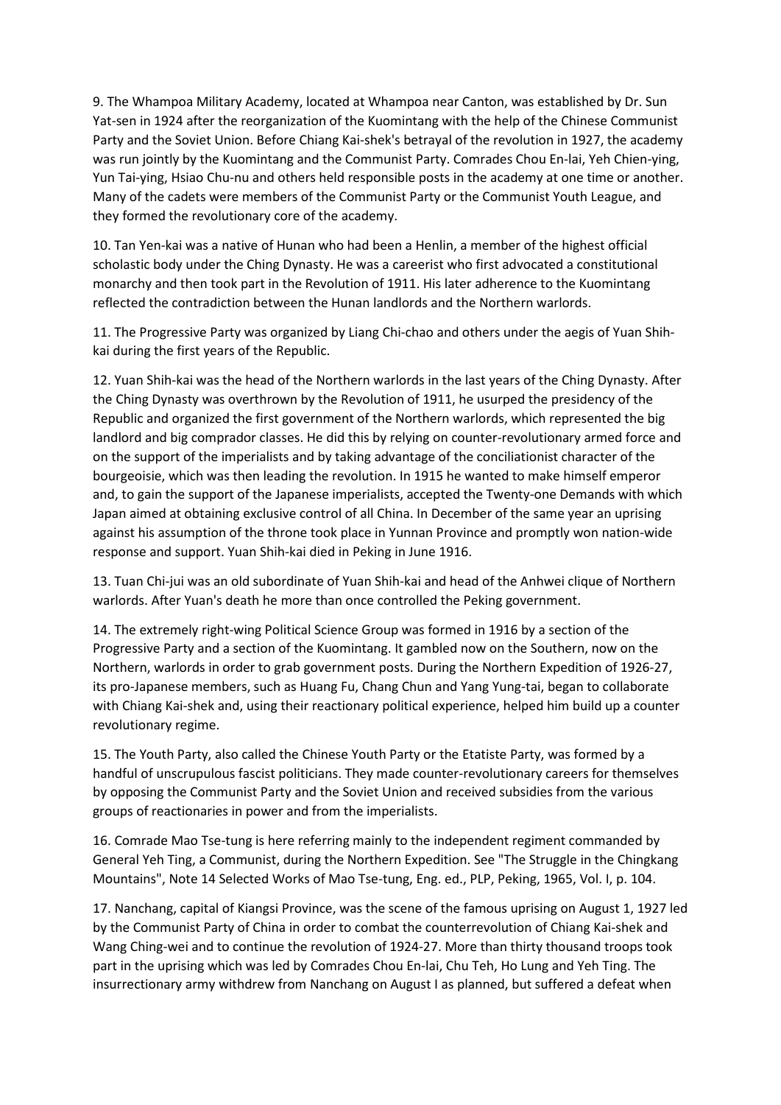9. The Whampoa Military Academy, located at Whampoa near Canton, was established by Dr. Sun Yat-sen in 1924 after the reorganization of the Kuomintang with the help of the Chinese Communist Party and the Soviet Union. Before Chiang Kai-shek's betrayal of the revolution in 1927, the academy was run jointly by the Kuomintang and the Communist Party. Comrades Chou En-lai, Yeh Chien-ying, Yun Tai-ying, Hsiao Chu-nu and others held responsible posts in the academy at one time or another. Many of the cadets were members of the Communist Party or the Communist Youth League, and they formed the revolutionary core of the academy.

10. Tan Yen-kai was a native of Hunan who had been a Henlin, a member of the highest official scholastic body under the Ching Dynasty. He was a careerist who first advocated a constitutional monarchy and then took part in the Revolution of 1911. His later adherence to the Kuomintang reflected the contradiction between the Hunan landlords and the Northern warlords.

11. The Progressive Party was organized by Liang Chi-chao and others under the aegis of Yuan Shihkai during the first years of the Republic.

12. Yuan Shih-kai was the head of the Northern warlords in the last years of the Ching Dynasty. After the Ching Dynasty was overthrown by the Revolution of 1911, he usurped the presidency of the Republic and organized the first government of the Northern warlords, which represented the big landlord and big comprador classes. He did this by relying on counter-revolutionary armed force and on the support of the imperialists and by taking advantage of the conciliationist character of the bourgeoisie, which was then leading the revolution. In 1915 he wanted to make himself emperor and, to gain the support of the Japanese imperialists, accepted the Twenty-one Demands with which Japan aimed at obtaining exclusive control of all China. In December of the same year an uprising against his assumption of the throne took place in Yunnan Province and promptly won nation-wide response and support. Yuan Shih-kai died in Peking in June 1916.

13. Tuan Chi-jui was an old subordinate of Yuan Shih-kai and head of the Anhwei clique of Northern warlords. After Yuan's death he more than once controlled the Peking government.

14. The extremely right-wing Political Science Group was formed in 1916 by a section of the Progressive Party and a section of the Kuomintang. It gambled now on the Southern, now on the Northern, warlords in order to grab government posts. During the Northern Expedition of 1926-27, its pro-Japanese members, such as Huang Fu, Chang Chun and Yang Yung-tai, began to collaborate with Chiang Kai-shek and, using their reactionary political experience, helped him build up a counter revolutionary regime.

15. The Youth Party, also called the Chinese Youth Party or the Etatiste Party, was formed by a handful of unscrupulous fascist politicians. They made counter-revolutionary careers for themselves by opposing the Communist Party and the Soviet Union and received subsidies from the various groups of reactionaries in power and from the imperialists.

16. Comrade Mao Tse-tung is here referring mainly to the independent regiment commanded by General Yeh Ting, a Communist, during the Northern Expedition. See "The Struggle in the Chingkang Mountains", Note 14 Selected Works of Mao Tse-tung, Eng. ed., PLP, Peking, 1965, Vol. I, p. 104.

17. Nanchang, capital of Kiangsi Province, was the scene of the famous uprising on August 1, 1927 led by the Communist Party of China in order to combat the counterrevolution of Chiang Kai-shek and Wang Ching-wei and to continue the revolution of 1924-27. More than thirty thousand troops took part in the uprising which was led by Comrades Chou En-lai, Chu Teh, Ho Lung and Yeh Ting. The insurrectionary army withdrew from Nanchang on August I as planned, but suffered a defeat when